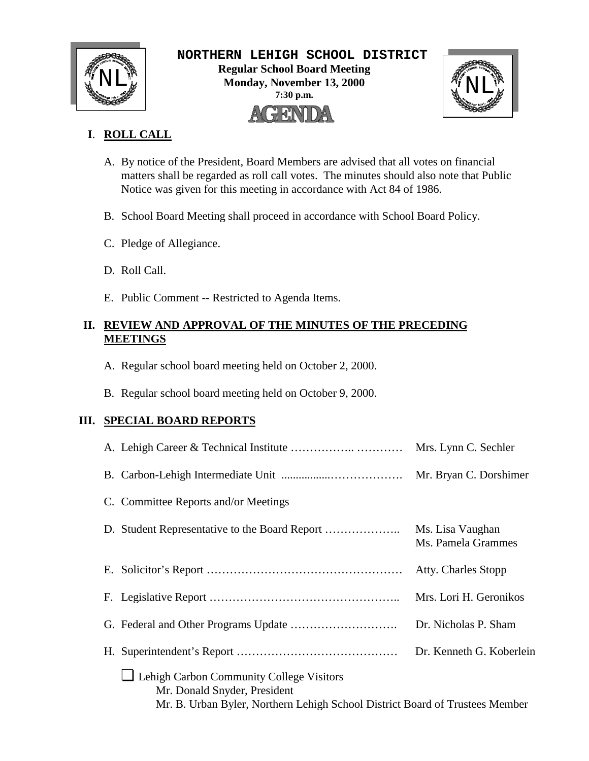

 **NORTHERN LEHIGH SCHOOL DISTRICT Regular School Board Meeting**  $\text{NLL}_{\text{y}}^{\text{W}}$  Regular School Board Meeting<br>Monday, November 13, 2000<br>7:30 p.m. **Monday, November 13, 2000 7:30 p.m. AGENDA** 



# **I**. **ROLL CALL**

- A. By notice of the President, Board Members are advised that all votes on financial matters shall be regarded as roll call votes. The minutes should also note that Public Notice was given for this meeting in accordance with Act 84 of 1986.
- B. School Board Meeting shall proceed in accordance with School Board Policy.
- C. Pledge of Allegiance.
- D. Roll Call.
- E. Public Comment -- Restricted to Agenda Items.

# **II. REVIEW AND APPROVAL OF THE MINUTES OF THE PRECEDING MEETINGS**

- A. Regular school board meeting held on October 2, 2000.
- B. Regular school board meeting held on October 9, 2000.

# **III. SPECIAL BOARD REPORTS**

| C. Committee Reports and/or Meetings                                                                                                                            |                                        |
|-----------------------------------------------------------------------------------------------------------------------------------------------------------------|----------------------------------------|
|                                                                                                                                                                 | Ms. Lisa Vaughan<br>Ms. Pamela Grammes |
|                                                                                                                                                                 | Atty. Charles Stopp                    |
|                                                                                                                                                                 | Mrs. Lori H. Geronikos                 |
|                                                                                                                                                                 | Dr. Nicholas P. Sham                   |
|                                                                                                                                                                 | Dr. Kenneth G. Koberlein               |
| $\Box$ Lehigh Carbon Community College Visitors<br>Mr. Donald Snyder, President<br>Mr. B. Urban Byler, Northern Lehigh School District Board of Trustees Member |                                        |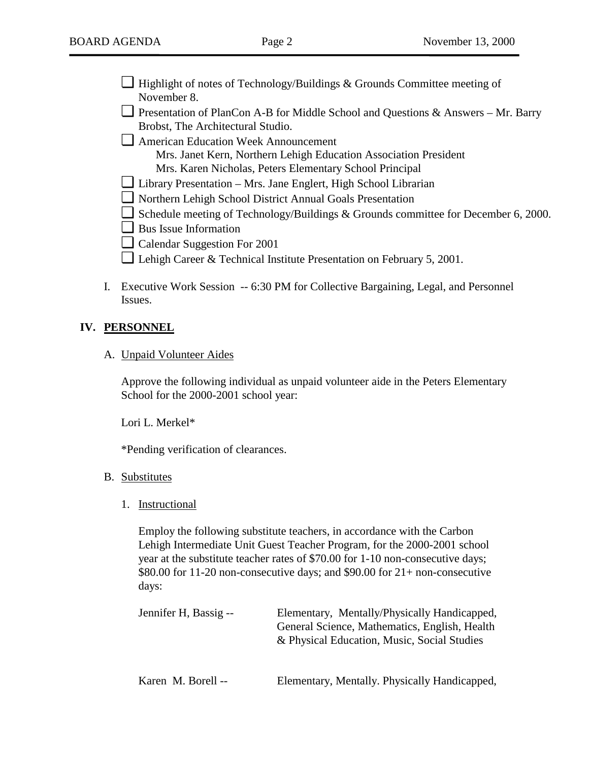- $\Box$  Highlight of notes of Technology/Buildings & Grounds Committee meeting of November 8.
- ❏ Presentation of PlanCon A-B for Middle School and Questions & Answers Mr. Barry Brobst, The Architectural Studio.
- ❏ American Education Week Announcement
	- Mrs. Janet Kern, Northern Lehigh Education Association President Mrs. Karen Nicholas, Peters Elementary School Principal
- ❏ Library Presentation Mrs. Jane Englert, High School Librarian
- ❏ Northern Lehigh School District Annual Goals Presentation
- ❏ Schedule meeting of Technology/Buildings & Grounds committee for December 6, 2000.
- ❏ Bus Issue Information
- ❏ Calendar Suggestion For 2001
- ❏ Lehigh Career & Technical Institute Presentation on February 5, 2001.
- I. Executive Work Session -- 6:30 PM for Collective Bargaining, Legal, and Personnel Issues.

## **IV. PERSONNEL**

A. Unpaid Volunteer Aides

Approve the following individual as unpaid volunteer aide in the Peters Elementary School for the 2000-2001 school year:

Lori L. Merkel\*

\*Pending verification of clearances.

- B. Substitutes
	- 1. Instructional

Employ the following substitute teachers, in accordance with the Carbon Lehigh Intermediate Unit Guest Teacher Program, for the 2000-2001 school year at the substitute teacher rates of \$70.00 for 1-10 non-consecutive days; \$80.00 for 11-20 non-consecutive days; and \$90.00 for 21+ non-consecutive days:

| Jennifer H, Bassig -- | Elementary, Mentally/Physically Handicapped,<br>General Science, Mathematics, English, Health<br>& Physical Education, Music, Social Studies |
|-----------------------|----------------------------------------------------------------------------------------------------------------------------------------------|
| Karen M. Borell --    | Elementary, Mentally. Physically Handicapped,                                                                                                |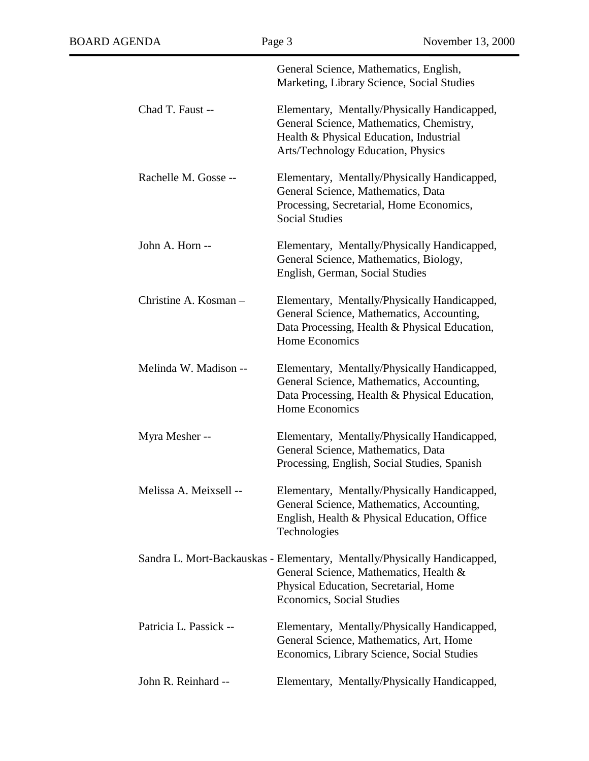|                        | General Science, Mathematics, English,<br>Marketing, Library Science, Social Studies                                                                                                     |
|------------------------|------------------------------------------------------------------------------------------------------------------------------------------------------------------------------------------|
| Chad T. Faust --       | Elementary, Mentally/Physically Handicapped,<br>General Science, Mathematics, Chemistry,<br>Health & Physical Education, Industrial<br>Arts/Technology Education, Physics                |
| Rachelle M. Gosse --   | Elementary, Mentally/Physically Handicapped,<br>General Science, Mathematics, Data<br>Processing, Secretarial, Home Economics,<br><b>Social Studies</b>                                  |
| John A. Horn --        | Elementary, Mentally/Physically Handicapped,<br>General Science, Mathematics, Biology,<br>English, German, Social Studies                                                                |
| Christine A. Kosman -  | Elementary, Mentally/Physically Handicapped,<br>General Science, Mathematics, Accounting,<br>Data Processing, Health & Physical Education,<br>Home Economics                             |
| Melinda W. Madison --  | Elementary, Mentally/Physically Handicapped,<br>General Science, Mathematics, Accounting,<br>Data Processing, Health & Physical Education,<br>Home Economics                             |
| Myra Mesher --         | Elementary, Mentally/Physically Handicapped,<br>General Science, Mathematics, Data<br>Processing, English, Social Studies, Spanish                                                       |
| Melissa A. Meixsell -- | Elementary, Mentally/Physically Handicapped,<br>General Science, Mathematics, Accounting,<br>English, Health & Physical Education, Office<br>Technologies                                |
|                        | Sandra L. Mort-Backauskas - Elementary, Mentally/Physically Handicapped,<br>General Science, Mathematics, Health &<br>Physical Education, Secretarial, Home<br>Economics, Social Studies |
| Patricia L. Passick -- | Elementary, Mentally/Physically Handicapped,<br>General Science, Mathematics, Art, Home<br>Economics, Library Science, Social Studies                                                    |
| John R. Reinhard --    | Elementary, Mentally/Physically Handicapped,                                                                                                                                             |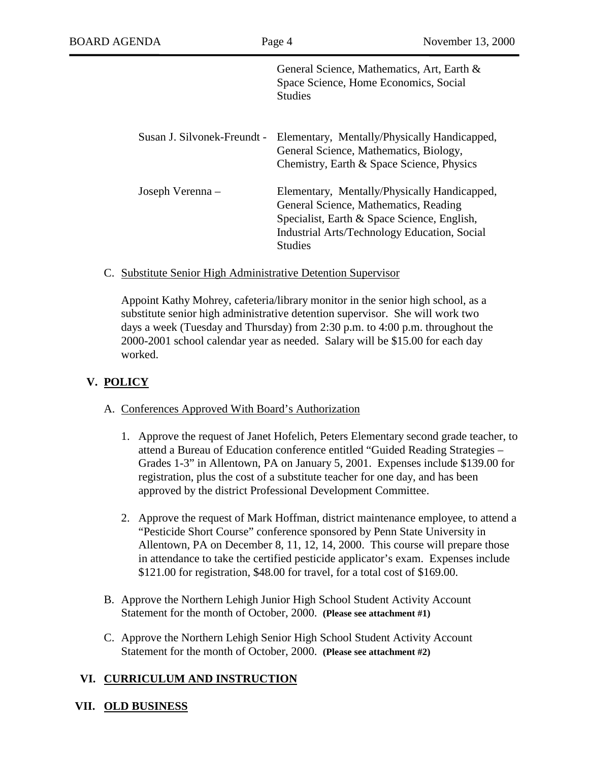|                             | General Science, Mathematics, Art, Earth &<br>Space Science, Home Economics, Social<br><b>Studies</b>                                                                                                  |
|-----------------------------|--------------------------------------------------------------------------------------------------------------------------------------------------------------------------------------------------------|
| Susan J. Silvonek-Freundt - | Elementary, Mentally/Physically Handicapped,<br>General Science, Mathematics, Biology,<br>Chemistry, Earth & Space Science, Physics                                                                    |
| Joseph Verenna -            | Elementary, Mentally/Physically Handicapped,<br>General Science, Mathematics, Reading<br>Specialist, Earth & Space Science, English,<br>Industrial Arts/Technology Education, Social<br><b>Studies</b> |

#### C. Substitute Senior High Administrative Detention Supervisor

Appoint Kathy Mohrey, cafeteria/library monitor in the senior high school, as a substitute senior high administrative detention supervisor. She will work two days a week (Tuesday and Thursday) from 2:30 p.m. to 4:00 p.m. throughout the 2000-2001 school calendar year as needed. Salary will be \$15.00 for each day worked.

## **V. POLICY**

#### A. Conferences Approved With Board's Authorization

- 1. Approve the request of Janet Hofelich, Peters Elementary second grade teacher, to attend a Bureau of Education conference entitled "Guided Reading Strategies – Grades 1-3" in Allentown, PA on January 5, 2001. Expenses include \$139.00 for registration, plus the cost of a substitute teacher for one day, and has been approved by the district Professional Development Committee.
- 2. Approve the request of Mark Hoffman, district maintenance employee, to attend a "Pesticide Short Course" conference sponsored by Penn State University in Allentown, PA on December 8, 11, 12, 14, 2000. This course will prepare those in attendance to take the certified pesticide applicator's exam. Expenses include \$121.00 for registration, \$48.00 for travel, for a total cost of \$169.00.
- B. Approve the Northern Lehigh Junior High School Student Activity Account Statement for the month of October, 2000. **(Please see attachment #1)**
- C. Approve the Northern Lehigh Senior High School Student Activity Account Statement for the month of October, 2000. **(Please see attachment #2)**

### **VI. CURRICULUM AND INSTRUCTION**

### **VII. OLD BUSINESS**